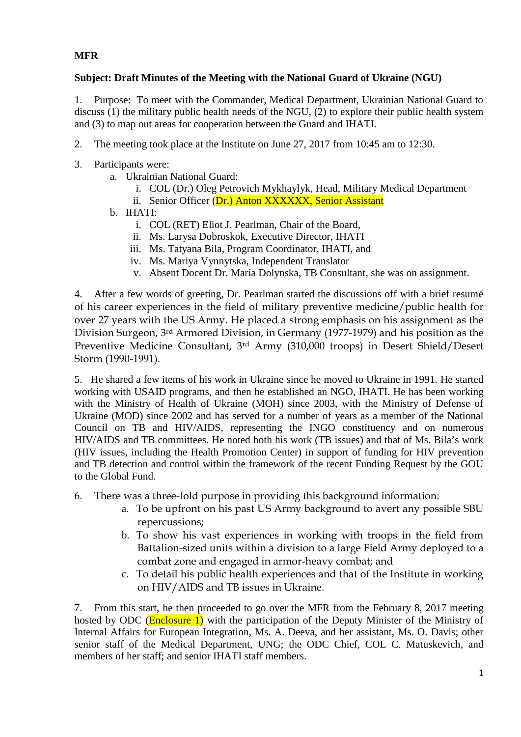## **MFR**

## **Subject: Draft Minutes of the Meeting with the National Guard of Ukraine (NGU)**

1. Purpose: To meet with the Commander, Medical Department, Ukrainian National Guard to discuss (1) the military public health needs of the NGU, (2) to explore their public health system and (3) to map out areas for cooperation between the Guard and IHATI.

- 2. The meeting took place at the Institute on June 27, 2017 from 10:45 am to 12:30.
- 3. Participants were:
	- a. Ukrainian National Guard:
		- i. COL (Dr.) Oleg Petrovich Mykhaylyk, Head, Military Medical Department
		- ii. Senior Officer (Dr.) Anton XXXXXX, Senior Assistant
	- b. IHATI:
		- i. COL (RET) Eliot J. Pearlman, Chair of the Board,
		- ii. Ms. Larysa Dobroskok, Executive Director, IHATI
		- iii. Ms. Tatyana Bila, Program Coordinator, IHATI, and
		- iv. Ms. Mariya Vynnytska, Independent Translator
		- v. Absent Docent Dr. Maria Dolynska, TB Consultant, she was on assignment.

4. After a few words of greeting, Dr. Pearlman started the discussions off with a brief resumé of his career experiences in the field of military preventive medicine/public health for over 27 years with the US Army. He placed a strong emphasis on his assignment as the Division Surgeon, 3rd Armored Division, in Germany (1977-1979) and his position as the Preventive Medicine Consultant, 3rd Army (310,000 troops) in Desert Shield/Desert Storm (1990-1991).

5. He shared a few items of his work in Ukraine since he moved to Ukraine in 1991. He started working with USAID programs, and then he established an NGO, IHATI. He has been working with the Ministry of Health of Ukraine (MOH) since 2003, with the Ministry of Defense of Ukraine (MOD) since 2002 and has served for a number of years as a member of the National Council on TB and HIV/AIDS, representing the INGO constituency and on numerous HIV/AIDS and TB committees. He noted both his work (TB issues) and that of Ms. Bila's work (HIV issues, including the Health Promotion Center) in support of funding for HIV prevention and TB detection and control within the framework of the recent Funding Request by the GOU to the Global Fund.

- 6. There was a three-fold purpose in providing this background information:
	- a. To be upfront on his past US Army background to avert any possible SBU repercussions;
	- b. To show his vast experiences in working with troops in the field from Battalion-sized units within a division to a large Field Army deployed to a combat zone and engaged in armor-heavy combat; and
	- c. To detail his public health experiences and that of the Institute in working on HIV/AIDS and TB issues in Ukraine.

7. From this start, he then proceeded to go over the MFR from the February 8, 2017 meeting hosted by ODC (**Enclosure 1**) with the participation of the Deputy Minister of the Ministry of Internal Affairs for European Integration, Ms. A. Deeva, and her assistant, Ms. O. Davis; other senior staff of the Medical Department, UNG; the ODC Chief, COL C. Matuskevich, and members of her staff; and senior IHATI staff members.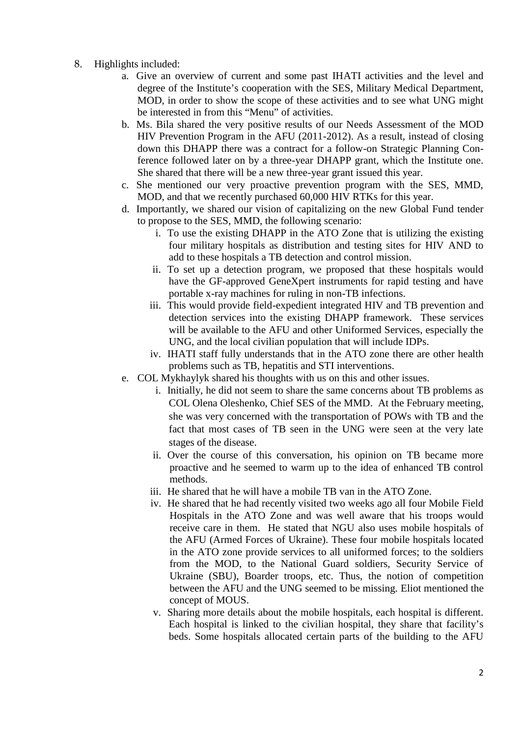- 8. Highlights included:
	- a. Give an overview of current and some past IHATI activities and the level and degree of the Institute's cooperation with the SES, Military Medical Department, MOD, in order to show the scope of these activities and to see what UNG might be interested in from this "Menu" of activities.
	- b. Ms. Bila shared the very positive results of our Needs Assessment of the MOD HIV Prevention Program in the AFU (2011-2012). As a result, instead of closing down this DHAPP there was a contract for a follow-on Strategic Planning Conference followed later on by a three-year DHAPP grant, which the Institute one. She shared that there will be a new three-year grant issued this year.
	- c. She mentioned our very proactive prevention program with the SES, MMD, MOD, and that we recently purchased 60,000 HIV RTKs for this year.
	- d. Importantly, we shared our vision of capitalizing on the new Global Fund tender to propose to the SES, MMD, the following scenario:
		- i. To use the existing DHAPP in the ATO Zone that is utilizing the existing four military hospitals as distribution and testing sites for HIV AND to add to these hospitals a TB detection and control mission.
		- ii. To set up a detection program, we proposed that these hospitals would have the GF-approved GeneXpert instruments for rapid testing and have portable x-ray machines for ruling in non-TB infections.
		- iii. This would provide field-expedient integrated HIV and TB prevention and detection services into the existing DHAPP framework. These services will be available to the AFU and other Uniformed Services, especially the UNG, and the local civilian population that will include IDPs.
		- iv. IHATI staff fully understands that in the ATO zone there are other health problems such as TB, hepatitis and STI interventions.
	- e. COL Mykhaylyk shared his thoughts with us on this and other issues.
		- i. Initially, he did not seem to share the same concerns about TB problems as COL Olena Oleshenko, Chief SES of the MMD. At the February meeting, she was very concerned with the transportation of POWs with TB and the fact that most cases of TB seen in the UNG were seen at the very late stages of the disease.
		- ii. Over the course of this conversation, his opinion on TB became more proactive and he seemed to warm up to the idea of enhanced TB control methods.
		- iii. He shared that he will have a mobile TB van in the ATO Zone.
		- iv. He shared that he had recently visited two weeks ago all four Mobile Field Hospitals in the ATO Zone and was well aware that his troops would receive care in them. He stated that NGU also uses mobile hospitals of the AFU (Armed Forces of Ukraine). These four mobile hospitals located in the ATO zone provide services to all uniformed forces; to the soldiers from the MOD, to the National Guard soldiers, Security Service of Ukraine (SBU), Boarder troops, etc. Thus, the notion of competition between the AFU and the UNG seemed to be missing. Eliot mentioned the concept of MOUS.
		- v. Sharing more details about the mobile hospitals, each hospital is different. Each hospital is linked to the civilian hospital, they share that facility's beds. Some hospitals allocated certain parts of the building to the AFU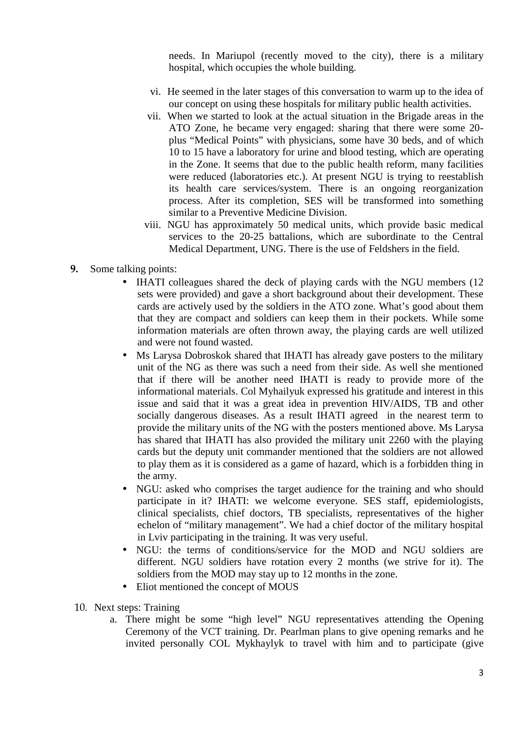needs. In Mariupol (recently moved to the city), there is a military hospital, which occupies the whole building.

- vi. He seemed in the later stages of this conversation to warm up to the idea of our concept on using these hospitals for military public health activities.
- vii. When we started to look at the actual situation in the Brigade areas in the ATO Zone, he became very engaged: sharing that there were some 20 plus "Medical Points" with physicians, some have 30 beds, and of which 10 to 15 have a laboratory for urine and blood testing, which are operating in the Zone. It seems that due to the public health reform, many facilities were reduced (laboratories etc.). At present NGU is trying to reestablish its health care services/system. There is an ongoing reorganization process. After its completion, SES will be transformed into something similar to a Preventive Medicine Division.
- viii. NGU has approximately 50 medical units, which provide basic medical services to the 20-25 battalions, which are subordinate to the Central Medical Department, UNG. There is the use of Feldshers in the field.
- **9.** Some talking points:
	- IHATI colleagues shared the deck of playing cards with the NGU members (12) sets were provided) and gave a short background about their development. These cards are actively used by the soldiers in the ATO zone. What's good about them that they are compact and soldiers can keep them in their pockets. While some information materials are often thrown away, the playing cards are well utilized and were not found wasted.
	- Ms Larysa Dobroskok shared that IHATI has already gave posters to the military unit of the NG as there was such a need from their side. As well she mentioned that if there will be another need IHATI is ready to provide more of the informational materials. Col Myhailyuk expressed his gratitude and interest in this issue and said that it was a great idea in prevention HIV/AIDS, TB and other socially dangerous diseases. As a result IHATI agreed in the nearest term to provide the military units of the NG with the posters mentioned above. Ms Larysa has shared that IHATI has also provided the military unit 2260 with the playing cards but the deputy unit commander mentioned that the soldiers are not allowed to play them as it is considered as a game of hazard, which is a forbidden thing in the army.
	- NGU: asked who comprises the target audience for the training and who should participate in it? IHATI: we welcome everyone. SES staff, epidemiologists, clinical specialists, chief doctors, TB specialists, representatives of the higher echelon of "military management". We had a chief doctor of the military hospital in Lviv participating in the training. It was very useful.
	- NGU: the terms of conditions/service for the MOD and NGU soldiers are different. NGU soldiers have rotation every 2 months (we strive for it). The soldiers from the MOD may stay up to 12 months in the zone.
	- Eliot mentioned the concept of MOUS
- 10. Next steps: Training
	- a. There might be some "high level" NGU representatives attending the Opening Ceremony of the VCT training. Dr. Pearlman plans to give opening remarks and he invited personally COL Mykhaylyk to travel with him and to participate (give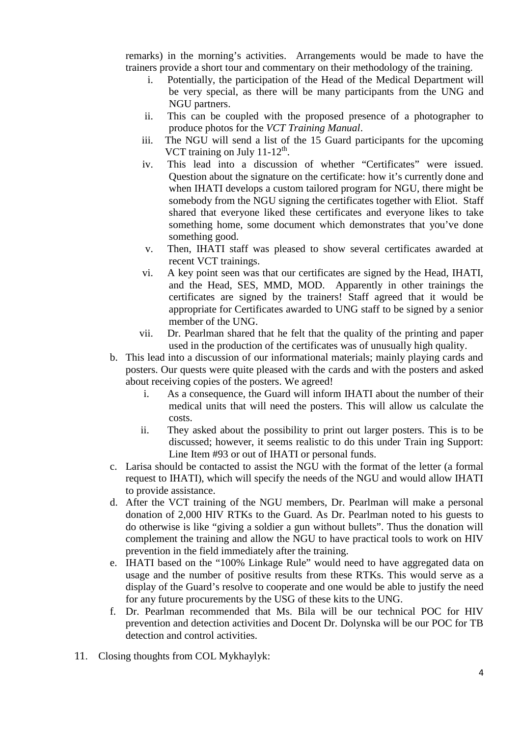remarks) in the morning's activities. Arrangements would be made to have the trainers provide a short tour and commentary on their methodology of the training.

- i. Potentially, the participation of the Head of the Medical Department will be very special, as there will be many participants from the UNG and NGU partners.
- ii. This can be coupled with the proposed presence of a photographer to produce photos for the *VCT Training Manual*.
- iii. The NGU will send a list of the 15 Guard participants for the upcoming VCT training on July  $11-12^{\text{th}}$ .
- iv. This lead into a discussion of whether "Certificates" were issued. Question about the signature on the certificate: how it's currently done and when IHATI develops a custom tailored program for NGU, there might be somebody from the NGU signing the certificates together with Eliot. Staff shared that everyone liked these certificates and everyone likes to take something home, some document which demonstrates that you've done something good.
- v. Then, IHATI staff was pleased to show several certificates awarded at recent VCT trainings.
- vi. A key point seen was that our certificates are signed by the Head, IHATI, and the Head, SES, MMD, MOD. Apparently in other trainings the certificates are signed by the trainers! Staff agreed that it would be appropriate for Certificates awarded to UNG staff to be signed by a senior member of the UNG.
- vii. Dr. Pearlman shared that he felt that the quality of the printing and paper used in the production of the certificates was of unusually high quality.
- b. This lead into a discussion of our informational materials; mainly playing cards and posters. Our quests were quite pleased with the cards and with the posters and asked about receiving copies of the posters. We agreed!
	- i. As a consequence, the Guard will inform IHATI about the number of their medical units that will need the posters. This will allow us calculate the costs.
	- ii. They asked about the possibility to print out larger posters. This is to be discussed; however, it seems realistic to do this under Train ing Support: Line Item #93 or out of IHATI or personal funds.
- c. Larisa should be contacted to assist the NGU with the format of the letter (a formal request to IHATI), which will specify the needs of the NGU and would allow IHATI to provide assistance.
- d. After the VCT training of the NGU members, Dr. Pearlman will make a personal donation of 2,000 HIV RTKs to the Guard. As Dr. Pearlman noted to his guests to do otherwise is like "giving a soldier a gun without bullets". Thus the donation will complement the training and allow the NGU to have practical tools to work on HIV prevention in the field immediately after the training.
- e. IHATI based on the "100% Linkage Rule" would need to have aggregated data on usage and the number of positive results from these RTKs. This would serve as a display of the Guard's resolve to cooperate and one would be able to justify the need for any future procurements by the USG of these kits to the UNG.
- f. Dr. Pearlman recommended that Ms. Bila will be our technical POC for HIV prevention and detection activities and Docent Dr. Dolynska will be our POC for TB detection and control activities.
- 11. Closing thoughts from COL Mykhaylyk: